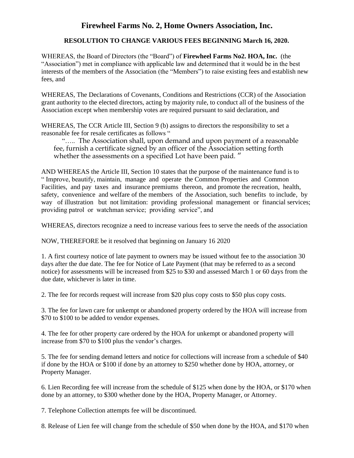## **Firewheel Farms No. 2, Home Owners Association, Inc.**

## **RESOLUTION TO CHANGE VARIOUS FEES BEGINNING March 16, 2020.**

WHEREAS, the Board of Directors (the "Board") of **Firewheel Farms No2. HOA, Inc.** (the "Association") met in compliance with applicable law and determined that it would be in the best interests of the members of the Association (the "Members") to raise existing fees and establish new fees, and

WHEREAS, The Declarations of Covenants, Conditions and Restrictions (CCR) of the Association grant authority to the elected directors, acting by majority rule, to conduct all of the business of the Association except when membership votes are required pursuant to said declaration, and

WHEREAS, The CCR Article III, Section 9 (b) assigns to directors the responsibility to set a reasonable fee for resale certificates as follows "

"….. The Association shall, upon demand and upon payment of a reasonable fee, furnish a certificate signed by an officer of the Association setting forth whether the assessments on a specified Lot have been paid. "

AND WHEREAS the Article III, Section 10 states that the purpose of the maintenance fund is to " Improve, beautify, maintain, manage and operate the Common Properties and Common Facilities, and pay taxes and insurance premiums thereon, and promote the recreation, health, safety, convenience and welfare of the members of the Association, such benefits to include, by way of illustration but not limitation: providing professional management or financial services; providing patrol or watchman service; providing service", and

WHEREAS, directors recognize a need to increase various fees to serve the needs of the association

NOW, THEREFORE be it resolved that beginning on January 16 2020

1. A first courtesy notice of late payment to owners may be issued without fee to the association 30 days after the due date. The fee for Notice of Late Payment (that may be referred to as a second notice) for assessments will be increased from \$25 to \$30 and assessed March 1 or 60 days from the due date, whichever is later in time.

2. The fee for records request will increase from \$20 plus copy costs to \$50 plus copy costs.

3. The fee for lawn care for unkempt or abandoned property ordered by the HOA will increase from \$70 to \$100 to be added to vendor expenses.

4. The fee for other property care ordered by the HOA for unkempt or abandoned property will increase from \$70 to \$100 plus the vendor's charges.

5. The fee for sending demand letters and notice for collections will increase from a schedule of \$40 if done by the HOA or \$100 if done by an attorney to \$250 whether done by HOA, attorney, or Property Manager.

6. Lien Recording fee will increase from the schedule of \$125 when done by the HOA, or \$170 when done by an attorney, to \$300 whether done by the HOA, Property Manager, or Attorney.

7. Telephone Collection attempts fee will be discontinued.

8. Release of Lien fee will change from the schedule of \$50 when done by the HOA, and \$170 when